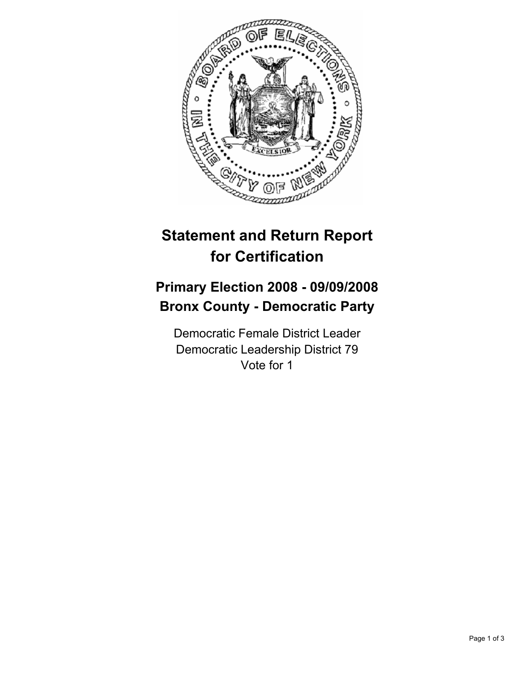

## **Statement and Return Report for Certification**

## **Primary Election 2008 - 09/09/2008 Bronx County - Democratic Party**

Democratic Female District Leader Democratic Leadership District 79 Vote for 1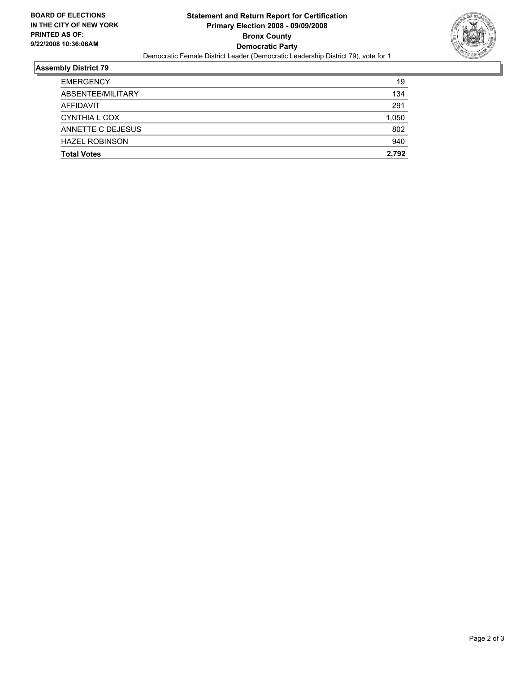

## **Assembly District 79**

| <b>Total Votes</b>    | 2,792 |
|-----------------------|-------|
| <b>HAZEL ROBINSON</b> | 940   |
| ANNETTE C DEJESUS     | 802   |
| CYNTHIA L COX         | 1,050 |
| <b>AFFIDAVIT</b>      | 291   |
| ABSENTEE/MILITARY     | 134   |
| <b>EMERGENCY</b>      | 19    |